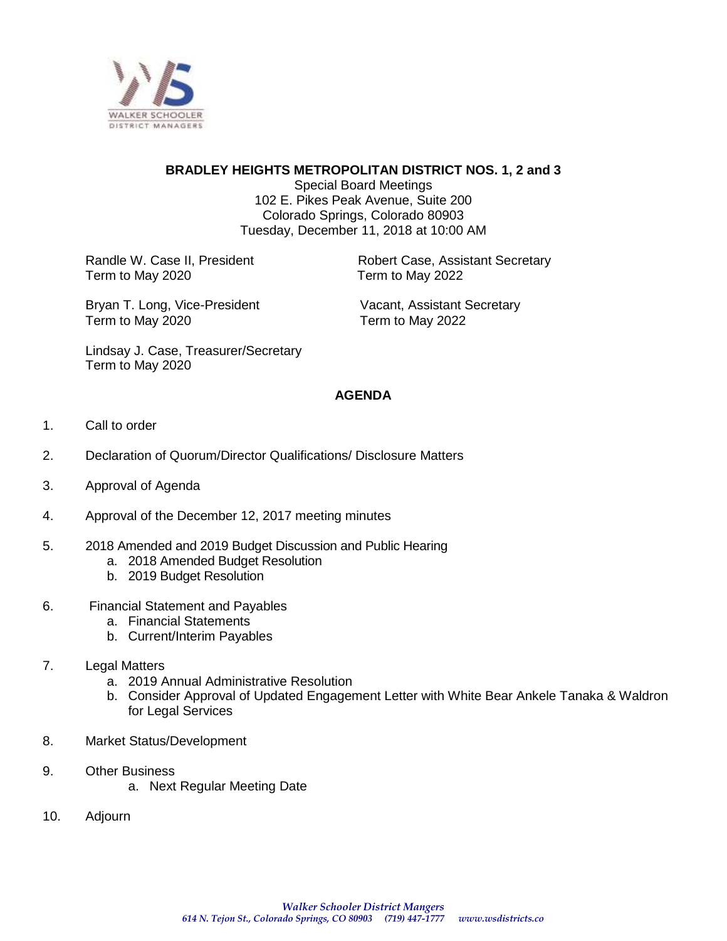

## **BRADLEY HEIGHTS METROPOLITAN DISTRICT NOS. 1, 2 and 3**

Special Board Meetings 102 E. Pikes Peak Avenue, Suite 200 Colorado Springs, Colorado 80903 Tuesday, December 11, 2018 at 10:00 AM

Term to May 2020 Term to May 2022

Randle W. Case II, President **Robert Case, Assistant Secretary** 

Bryan T. Long, Vice-President Vacant, Assistant Secretary Term to May 2020 Term to May 2022

Lindsay J. Case, Treasurer/Secretary Term to May 2020

### **AGENDA**

- 1. Call to order
- 2. Declaration of Quorum/Director Qualifications/ Disclosure Matters
- 3. Approval of Agenda
- 4. Approval of the December 12, 2017 meeting minutes
- 5. 2018 Amended and 2019 Budget Discussion and Public Hearing
	- a. 2018 Amended Budget Resolution
	- b. 2019 Budget Resolution
- 6. Financial Statement and Payables
	- a. Financial Statements
	- b. Current/Interim Payables
- 7. Legal Matters
	- a. 2019 Annual Administrative Resolution
	- b. Consider Approval of Updated Engagement Letter with White Bear Ankele Tanaka & Waldron for Legal Services
- 8. Market Status/Development
- 9. Other Business
	- a. Next Regular Meeting Date
- 10. Adjourn